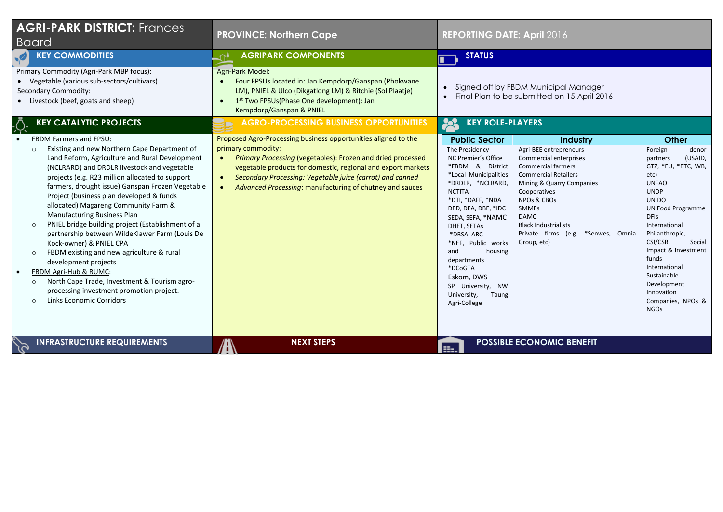| <b>AGRI-PARK DISTRICT: Frances</b><br><b>Baard</b>                                                                                                                                                                                                                                                                                                                                                                                                                                                                                                                                                                                                                                                                                                                                                          | <b>PROVINCE: Northern Cape</b>                                                                                                                                                                                                                                                                                                                                                      | <b>REPORTING DATE: April 2016</b>                                                                                                                                                                                                                                                                                                                                                           |                                                                                                                                                                                                                                                                                                                                 |                                                                                                                                                                                                                                                                                                                                                                            |
|-------------------------------------------------------------------------------------------------------------------------------------------------------------------------------------------------------------------------------------------------------------------------------------------------------------------------------------------------------------------------------------------------------------------------------------------------------------------------------------------------------------------------------------------------------------------------------------------------------------------------------------------------------------------------------------------------------------------------------------------------------------------------------------------------------------|-------------------------------------------------------------------------------------------------------------------------------------------------------------------------------------------------------------------------------------------------------------------------------------------------------------------------------------------------------------------------------------|---------------------------------------------------------------------------------------------------------------------------------------------------------------------------------------------------------------------------------------------------------------------------------------------------------------------------------------------------------------------------------------------|---------------------------------------------------------------------------------------------------------------------------------------------------------------------------------------------------------------------------------------------------------------------------------------------------------------------------------|----------------------------------------------------------------------------------------------------------------------------------------------------------------------------------------------------------------------------------------------------------------------------------------------------------------------------------------------------------------------------|
| <b>KEY COMMODITIES</b>                                                                                                                                                                                                                                                                                                                                                                                                                                                                                                                                                                                                                                                                                                                                                                                      | <b>AGRIPARK COMPONENTS</b><br>∽∙                                                                                                                                                                                                                                                                                                                                                    | <b>STATUS</b><br>П                                                                                                                                                                                                                                                                                                                                                                          |                                                                                                                                                                                                                                                                                                                                 |                                                                                                                                                                                                                                                                                                                                                                            |
| Primary Commodity (Agri-Park MBP focus):<br>• Vegetable (various sub-sectors/cultivars)<br>Secondary Commodity:<br>• Livestock (beef, goats and sheep)                                                                                                                                                                                                                                                                                                                                                                                                                                                                                                                                                                                                                                                      | <b>Agri-Park Model:</b><br>Four FPSUs located in: Jan Kempdorp/Ganspan (Phokwane<br>$\bullet$<br>LM), PNIEL & Ulco (Dikgatlong LM) & Ritchie (Sol Plaatje)<br>1st Two FPSUs(Phase One development): Jan<br>$\bullet$<br>Kempdorp/Ganspan & PNIEL                                                                                                                                    | • Signed off by FBDM Municipal Manager<br>Final Plan to be submitted on 15 April 2016                                                                                                                                                                                                                                                                                                       |                                                                                                                                                                                                                                                                                                                                 |                                                                                                                                                                                                                                                                                                                                                                            |
| <b>KEY CATALYTIC PROJECTS</b>                                                                                                                                                                                                                                                                                                                                                                                                                                                                                                                                                                                                                                                                                                                                                                               | <b>AGRO-PROCESSING BUSINESS OPPORTUNITIES</b>                                                                                                                                                                                                                                                                                                                                       | <b>KEY ROLE-PLAYERS</b><br>28                                                                                                                                                                                                                                                                                                                                                               |                                                                                                                                                                                                                                                                                                                                 |                                                                                                                                                                                                                                                                                                                                                                            |
| <b>FBDM Farmers and FPSU:</b><br>Existing and new Northern Cape Department of<br>$\circ$<br>Land Reform, Agriculture and Rural Development<br>(NCLRARD) and DRDLR livestock and vegetable<br>projects (e.g. R23 million allocated to support<br>farmers, drought issue) Ganspan Frozen Vegetable<br>Project (business plan developed & funds<br>allocated) Magareng Community Farm &<br>Manufacturing Business Plan<br>PNIEL bridge building project (Establishment of a<br>partnership between WildeKlawer Farm (Louis De<br>Kock-owner) & PNIEL CPA<br>FBDM existing and new agriculture & rural<br>development projects<br>FBDM Agri-Hub & RUMC:<br>$\bullet$<br>North Cape Trade, Investment & Tourism agro-<br>$\Omega$<br>processing investment promotion project.<br><b>Links Economic Corridors</b> | Proposed Agro-Processing business opportunities aligned to the<br>primary commodity:<br>Primary Processing (vegetables): Frozen and dried processed<br>$\bullet$<br>vegetable products for domestic, regional and export markets<br>Secondary Processing: Vegetable juice (carrot) and canned<br>$\bullet$<br>Advanced Processing: manufacturing of chutney and sauces<br>$\bullet$ | <b>Public Sector</b><br>The Presidency<br>NC Premier's Office<br>*FBDM & District<br>*Local Municipalities<br>*DRDLR, *NCLRARD,<br><b>NCTITA</b><br>*DTI, *DAFF, *NDA<br>DED, DEA, DBE, *IDC<br>SEDA, SEFA, *NAMC<br>DHET, SETAS<br>*DBSA, ARC<br>*NEF, Public works<br>and<br>housing<br>departments<br>*DCoGTA<br>Eskom, DWS<br>SP University, NW<br>University,<br>Taung<br>Agri-College | Industry<br>Agri-BEE entrepreneurs<br>Commercial enterprises<br><b>Commercial farmers</b><br><b>Commercial Retailers</b><br>Mining & Quarry Companies<br>Cooperatives<br>NPO <sub>s</sub> & CBO <sub>s</sub><br><b>SMMEs</b><br><b>DAMC</b><br><b>Black Industrialists</b><br>Private firms (e.g. *Senwes, Omnia<br>Group, etc) | <b>Other</b><br>Foreign<br>donor<br>(USAID,<br>partners<br>GTZ, *EU, *BTC, WB,<br>etc)<br><b>UNFAO</b><br><b>UNDP</b><br><b>UNIDO</b><br><b>UN Food Programme</b><br><b>DFIS</b><br>International<br>Philanthropic,<br>CSI/CSR,<br>Social<br>Impact & Investment<br>funds<br>International<br>Sustainable<br>Development<br>Innovation<br>Companies, NPOs &<br><b>NGOs</b> |
| <b>INFRASTRUCTURE REQUIREMENTS</b>                                                                                                                                                                                                                                                                                                                                                                                                                                                                                                                                                                                                                                                                                                                                                                          | <b>NEXT STEPS</b>                                                                                                                                                                                                                                                                                                                                                                   | æ.                                                                                                                                                                                                                                                                                                                                                                                          | <b>POSSIBLE ECONOMIC BENEFIT</b>                                                                                                                                                                                                                                                                                                |                                                                                                                                                                                                                                                                                                                                                                            |